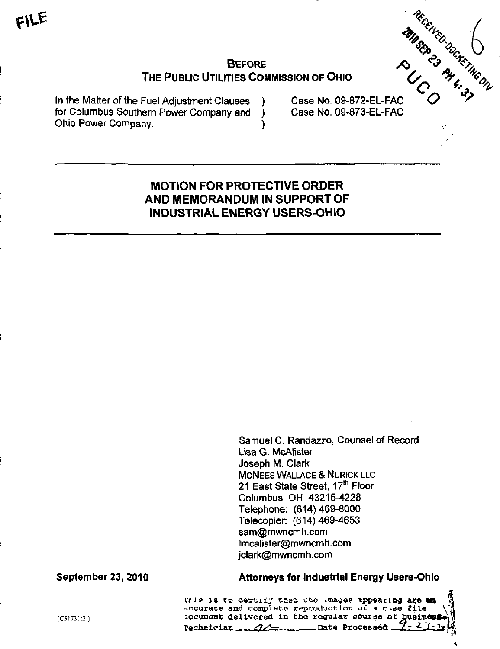# BEFORE  $\bigwedge^{\bullet}$   $\bigvee^{\bullet}$   $\bigwedge^{\bullet}$   $\bigvee^{\bullet}$ THE PUBLIC UTILITIES COMMISSION OF OHIO

In the Matter of the Fuel Adjustment Clauses ) Case No. 09-872-EL-FAC<br>for Columbus Southern Power Company and ) Case No. 09-873-EL-FAC for Columbus Southern Power Company and Ohio Power Company. )

 $C_{\bigwedge}$   $\frac{1}{3}$   $\frac{1}{3}$ 

# MOTION FOR PROTECTIVE ORDER AND MEMORANDUM IN SUPPORT OF INDUSTRIAL ENERGY USERS-OHIO

Samuel C. Randazzo, Counsel of Record Lisa G. McAlister Joseph M. Clark MCNEES WALLACE & NURICK LLC 21 East State Street, 17<sup>th</sup> Floor Columbus, OH 43215-4228 Telephone: (614) 469-8000 Telecopier: (614)469-4653 sam(gmwncmh.com [lmcalister@mwncmh.com](mailto:lmcalister@mwncmh.com)  [jclark@mwncmh.com](mailto:jclark@mwncmh.com) 

### September 23, 2010 Attorneys for Industrial Energy Users-Ohio

 $\ddot{\mathbf{3}}$ Ciis is to certify that the Luages appearing are an accurate and complete reproduction of  $A$  c .de file  ${c31731:2}$  document; delivered in the regular course of husines  $P$ echnician  $\frac{2}{\sqrt{2}}$  Date Processed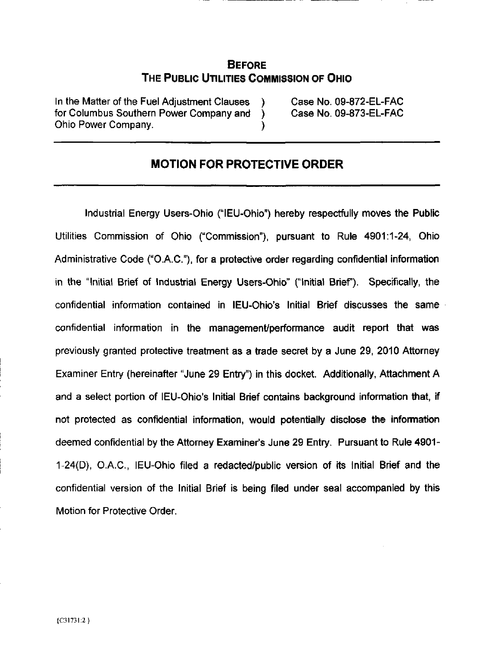## BEFORE THE PUBLIC UTILITIES COMMISSION OF OHIO

in the Matter of the Fuel Adjustment Clauses ) Case No. 09-872-EL-FAC for Columbus Southern Power Company and ) Case No. 09-873-EL-FAC Ohio Power Company. )

## MOTION FOR PROTECTIVE ORDER

Industrial Energy Users-Ohio ("lEU-Ohio") hereby respectfully moves the Public Utilities Commission of Ohio ("Commission"), pursuant to Rule 4901:1-24, Ohio Administrative Code ("O.A.C."), for a protective order regarding confidential information in the "Initial Brief of Industrial Energy Users-Ohio" ("Initial Brief). Specifically, the confidential information contained in lEU-Ohio's Initial Brief discusses the same confidential information in the management/performance audit report that was previously granted protective treatment as a trade secret by a June 29, 2010 Attorney Examiner Entry (hereinafter "June 29 Entry") in this docket. Additionally, Attachment A and a select portion of lEU-Ohio's Initial Brief contains background information that, if not protected as confidential information, would potentially disclose the infonnation deemed confidential by the Attomey Examiner's June 29 Entry. Pursuant to Rule 4901- 1-24(D), O.A.C., lEU-Ohio filed a redacted/public version of its Initial Brief and the confidential version of the Initial Brief is being filed under seal accompanied by this Motion for Protective Order.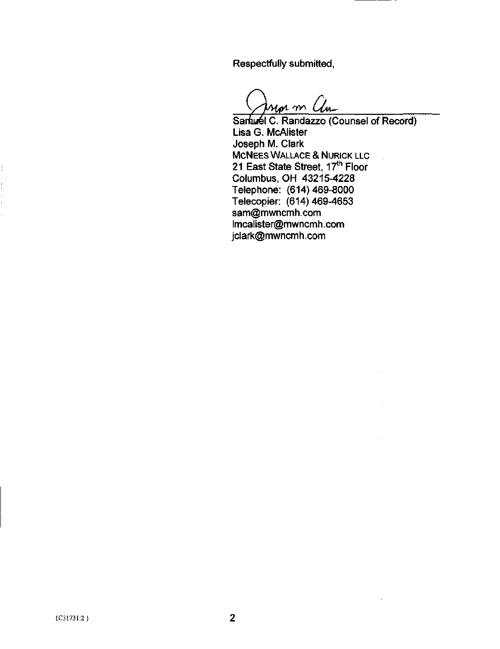Respectfully submitted.

ior m Chi

Sanuel C. Randazzo (Counsel of Record) Lisa G. McAlister Joseph M. Clark MCNEES WALLACE & NURICK LLC 21 East State Street, 17<sup>th</sup> Floor Columbus, OH 43215-4228 Telephone: (614)469-8000 Telecopier: (614) 469-4653 [sam@mwncmh.com](mailto:sam@mwncmh.com)  [lmcalister@mwncmh.com](mailto:lmcalister@mwncmh.com)  [jclark@mwncmh.com](mailto:jclark@mwncmh.com)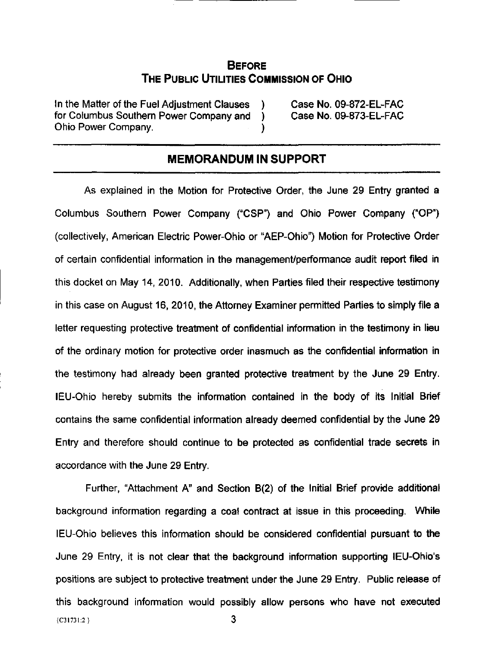### **BEFORE** THE PUBLIC UTILITIES COMMISSION OF OHIO

In the Matter of the Fuel Adjustment Clauses ) Case No. 09-872-EL-FAC for Columbus Southern Power Company and ) Case No. 09-873-EL-FAC Ohio Power Company. )

#### •'•—•'""'••' ^^—^—I^^^^M^I^M^M^^^^—^^ — •! IIIIH-IIIIIIM I II •Illlllllllll>ll» .II, . • •—1 1 •I.IMIII. I II MEMORANDUM IN SUPPORT

As explained in the Motion for Protective Order, the June 29 Entry granted a Columbus Southern Power Company ("CSP") and Ohio Power Company ("OP") (collectively, American Electric Power-Ohio or "AEP-Ohio") Motion for Protective Order of certain confidential information in the management/performance audit report filed in this docket on May 14, 2010. Additionally, when Parties filed their respective testimony in this case on August 16, 2010, the Attorney Examiner permitted Parties to simply file a letter requesting protective treatment of confidential information in the testimony in lieu of the ordinary motion for protective order inasmuch as the confidential information in the testimony had already been granted protective treatment by the June 29 Entry. lEU-Ohio hereby submits the information contained in the body of its Initial Brief contains the same confidential information already deemed confidential by the June 29 Entry and therefore should continue to be protected as confidential trade secrets in accordance with the June 29 Entry.

Further, "Attachment A" and Section B(2) of the Initial Brief provide additional background information regarding a coal contract at issue in this proceeding. While lEU-Ohio believes this information should be considered confidential pursuant to the June 29 Entry, it is not clear that the background information supporting lEU-Ohio's positions are subject to protective treatment under the June 29 Entry. Public release of this background information would possibly allow persons who have not executed  ${c}_{31731:2}$  3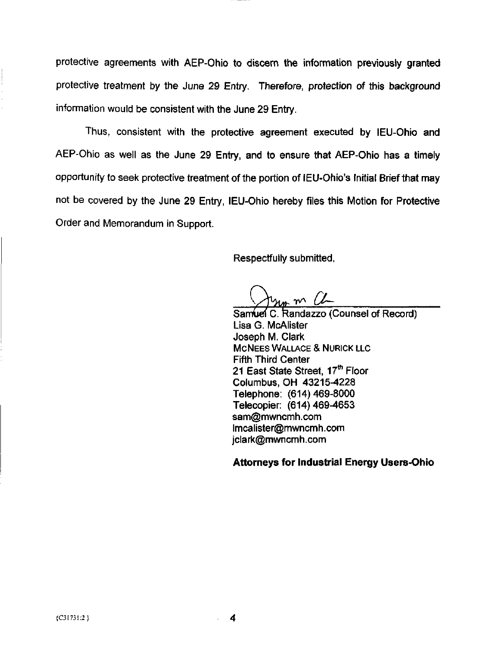protective agreements with AEP-Ohio to discern the information previously granted protective treatment by the June 29 Entry. Therefore, protection of this background information would be consistent with the June 29 Entry.

Thus, consistent with the protective agreement executed by lEU-Ohio and AEP-Ohio as well as the June 29 Entry, and to ensure that AEP-Ohio has a timely opportunity to seek protective treatment of the portion of lEU-Ohio's Initial Brief that may not be covered by the June 29 Entry, lEU-Ohio hereby files this Motion for Protective Order and Memorandum in Support.

Respectfully submitted,

 $m \vee L$ 

Samuel C. Randazzo (Counsel of Record) Lisa G. McAlister Joseph M. Clark MCNEES WALLACE & NURICK LLC Fifth Third Center 21 East State Street, 17<sup>th</sup> Floor Columbus, OH 43215^228 Telephone: (614)469-8000 Telecopier: (614)469-4653 [sam@mwncmh.com](mailto:sam@mwncmh.com)  [lmcalister@mwncmh.com](mailto:lmcalister@mwncmh.com)  [jclark@mwncmh.com](mailto:jclark@mwncmh.com) 

Attorneys for Industrial Energy Users-Ohio

4